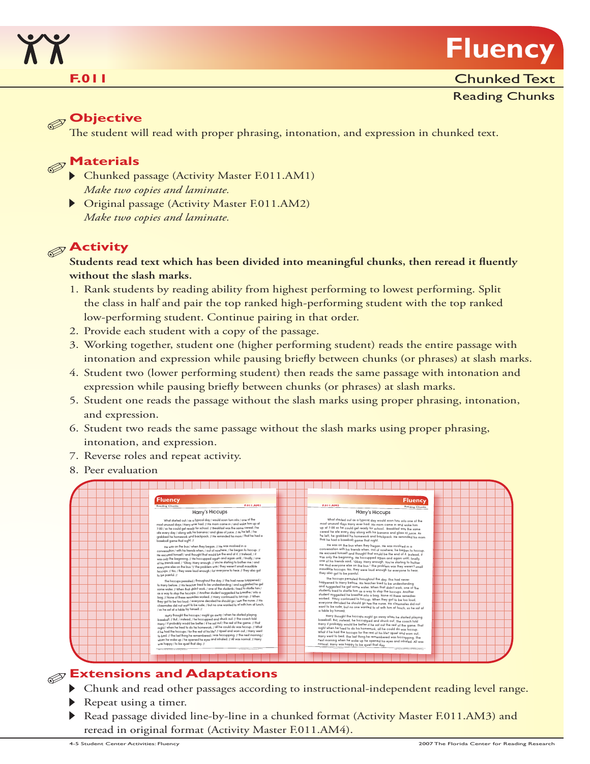

#### **F.011**

#### Reading Chunks

#### **Objective**

The student will read with proper phrasing, intonation, and expression in chunked text.

### **Materials**

- Chunked passage (Activity Master F.011.AM1) *Make two copies and laminate.*
- Original passage (Activity Master F.011.AM2) *Make two copies and laminate.*

### **Activity**

#### **Students read text which has been divided into meaningful chunks, then reread it fluently without the slash marks.**

- 1. Rank students by reading ability from highest performing to lowest performing. Split the class in half and pair the top ranked high-performing student with the top ranked low-performing student. Continue pairing in that order.
- 2. Provide each student with a copy of the passage.
- 3. Working together, student one (higher performing student) reads the entire passage with intonation and expression while pausing briefly between chunks (or phrases) at slash marks.
- 4. Student two (lower performing student) then reads the same passage with intonation and expression while pausing briefly between chunks (or phrases) at slash marks.
- 5. Student one reads the passage without the slash marks using proper phrasing, intonation, and expression.
- 6. Student two reads the same passage without the slash marks using proper phrasing, intonation, and expression.
- 7. Reverse roles and repeat activity.
- 8. Peer evaluation



#### **Extensions and Adaptations**

- **IF** Chunk and read other passages according to instructional-independent reading level range.
- Repeat using a timer.
- Read passage divided line-by-line in a chunked format (Activity Master F.011.AM3) and reread in original format (Activity Master F.011.AM4).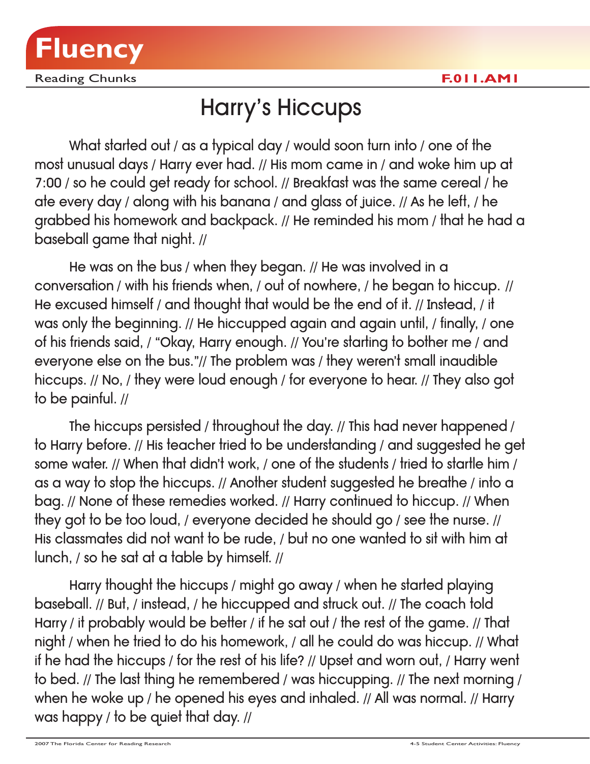

Reading Chunks **F.011.AM1**

### Harry's Hiccups

What started out / as a typical day / would soon turn into / one of the most unusual days / Harry ever had. // His mom came in / and woke him up at 7:00 / so he could get ready for school. // Breakfast was the same cereal / he ate every day / along with his banana / and glass of juice. // As he left, / he grabbed his homework and backpack. // He reminded his mom / that he had a baseball game that night. //

He was on the bus / when they began. // He was involved in a conversation / with his friends when, / out of nowhere, / he began to hiccup. // He excused himself / and thought that would be the end of it. // Instead, / it was only the beginning. // He hiccupped again and again until, / finally, / one of his friends said, / "Okay, Harry enough. // You're starting to bother me / and everyone else on the bus."// The problem was / they weren't small inaudible hiccups. // No, / they were loud enough / for everyone to hear. // They also got to be painful. //

The hiccups persisted / throughout the day. // This had never happened / to Harry before. // His teacher tried to be understanding / and suggested he get some water. // When that didn't work, / one of the students / tried to startle him / as a way to stop the hiccups. // Another student suggested he breathe / into a bag. // None of these remedies worked. // Harry continued to hiccup. // When they got to be too loud, / everyone decided he should go / see the nurse. // His classmates did not want to be rude, / but no one wanted to sit with him at lunch, / so he sat at a table by himself. //

Harry thought the hiccups / might go away / when he started playing baseball. // But, / instead, / he hiccupped and struck out. // The coach told Harry / it probably would be better / if he sat out / the rest of the game. // That night / when he tried to do his homework, / all he could do was hiccup. // What if he had the hiccups / for the rest of his life? // Upset and worn out, / Harry went to bed. // The last thing he remembered / was hiccupping. // The next morning / when he woke up / he opened his eyes and inhaled. // All was normal. // Harry was happy / to be quiet that day. //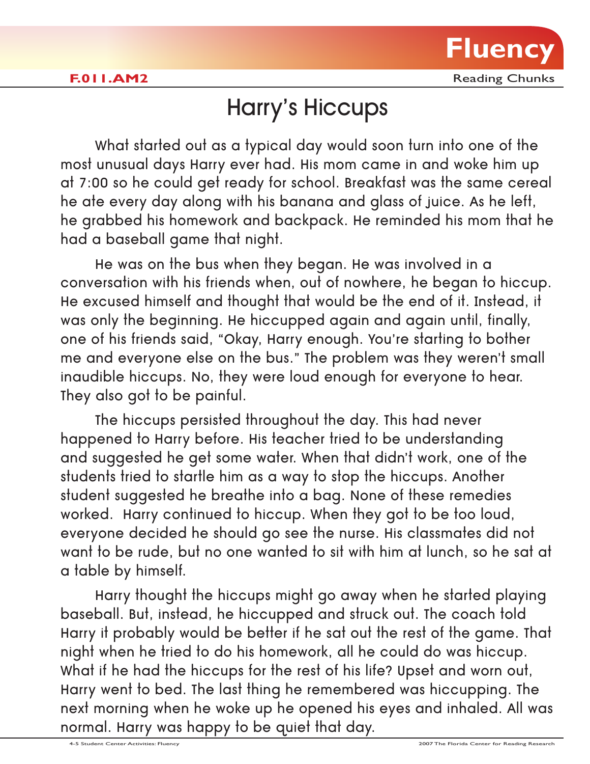

**F.011.AM2** Reading Chunks

### Harry's Hiccups

What started out as a typical day would soon turn into one of the most unusual days Harry ever had. His mom came in and woke him up at 7:00 so he could get ready for school. Breakfast was the same cereal he ate every day along with his banana and glass of juice. As he left, he grabbed his homework and backpack. He reminded his mom that he had a baseball game that night.

He was on the bus when they began. He was involved in a conversation with his friends when, out of nowhere, he began to hiccup. He excused himself and thought that would be the end of it. Instead, it was only the beginning. He hiccupped again and again until, finally, one of his friends said, "Okay, Harry enough. You're starting to bother me and everyone else on the bus." The problem was they weren't small inaudible hiccups. No, they were loud enough for everyone to hear. They also got to be painful.

The hiccups persisted throughout the day. This had never happened to Harry before. His teacher tried to be understanding and suggested he get some water. When that didn't work, one of the students tried to startle him as a way to stop the hiccups. Another student suggested he breathe into a bag. None of these remedies worked. Harry continued to hiccup. When they got to be too loud, everyone decided he should go see the nurse. His classmates did not want to be rude, but no one wanted to sit with him at lunch, so he sat at a table by himself.

Harry thought the hiccups might go away when he started playing baseball. But, instead, he hiccupped and struck out. The coach told Harry it probably would be better if he sat out the rest of the game. That night when he tried to do his homework, all he could do was hiccup. What if he had the hiccups for the rest of his life? Upset and worn out, Harry went to bed. The last thing he remembered was hiccupping. The next morning when he woke up he opened his eyes and inhaled. All was normal. Harry was happy to be quiet that day.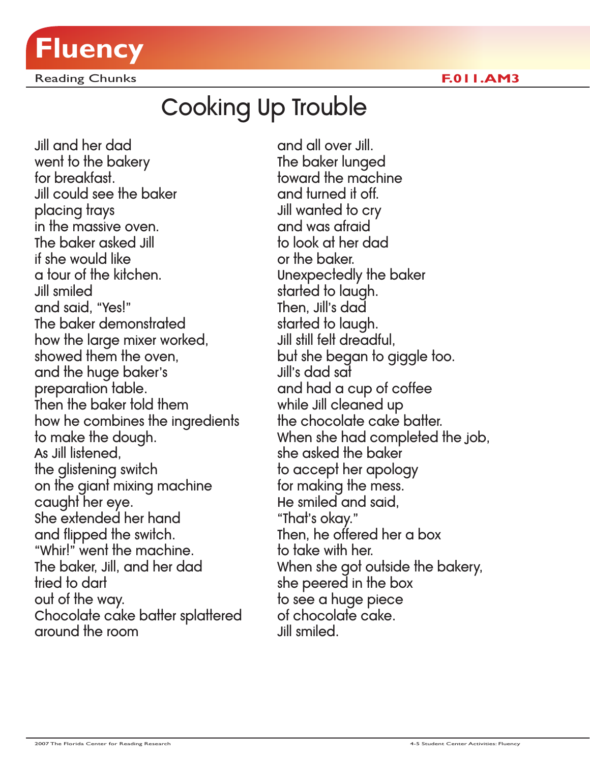

Reading Chunks **F.011.AM3**

## Cooking Up Trouble

Jill and her dad went to the bakery for breakfast. Jill could see the baker placing trays in the massive oven. The baker asked Jill if she would like a tour of the kitchen. Jill smiled and said, "Yes!" The baker demonstrated how the large mixer worked, showed them the oven, and the huge baker's preparation table. Then the baker told them how he combines the ingredients to make the dough. As Jill listened, the glistening switch on the giant mixing machine caught her eye. She extended her hand and flipped the switch. "Whir!" went the machine. The baker, Jill, and her dad tried to dart out of the way. Chocolate cake batter splattered around the room

and all over Jill. The baker lunged toward the machine and turned it off. Jill wanted to cry and was afraid to look at her dad or the baker. Unexpectedly the baker started to laugh. Then, Jill's dad started to laugh. Jill still felt dreadful, but she began to giggle too. Jill's dad sat and had a cup of coffee while Jill cleaned up the chocolate cake batter. When she had completed the job, she asked the baker to accept her apology for making the mess. He smiled and said, "That's okay." Then, he offered her a box to take with her. When she got outside the bakery, she peered in the box to see a huge piece of chocolate cake. Jill smiled.